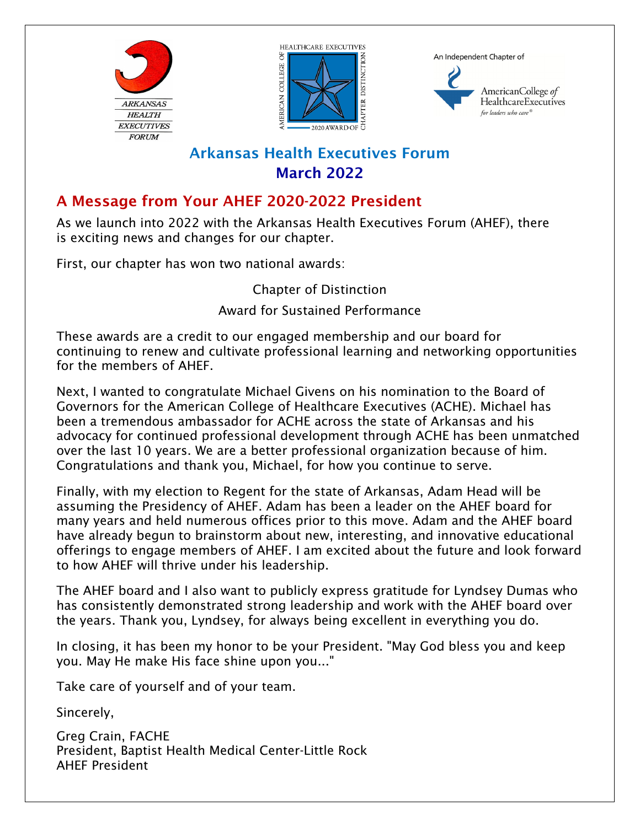



An Independent Chapter of



# Arkansas Health Executives Forum March 2022

## A Message from Your AHEF 2020-2022 President

As we launch into 2022 with the Arkansas Health Executives Forum (AHEF), there is exciting news and changes for our chapter.

First, our chapter has won two national awards:

Chapter of Distinction

Award for Sustained Performance

These awards are a credit to our engaged membership and our board for continuing to renew and cultivate professional learning and networking opportunities for the members of AHEF.

Next, I wanted to congratulate Michael Givens on his nomination to the Board of Governors for the American College of Healthcare Executives (ACHE). Michael has been a tremendous ambassador for ACHE across the state of Arkansas and his advocacy for continued professional development through ACHE has been unmatched over the last 10 years. We are a better professional organization because of him. Congratulations and thank you, Michael, for how you continue to serve.

Finally, with my election to Regent for the state of Arkansas, Adam Head will be assuming the Presidency of AHEF. Adam has been a leader on the AHEF board for many years and held numerous offices prior to this move. Adam and the AHEF board have already begun to brainstorm about new, interesting, and innovative educational offerings to engage members of AHEF. I am excited about the future and look forward to how AHEF will thrive under his leadership.

The AHEF board and I also want to publicly express gratitude for Lyndsey Dumas who has consistently demonstrated strong leadership and work with the AHEF board over the years. Thank you, Lyndsey, for always being excellent in everything you do.

In closing, it has been my honor to be your President. "May God bless you and keep you. May He make His face shine upon you..."

Take care of yourself and of your team.

Sincerely,

Greg Crain, FACHE President, Baptist Health Medical Center-Little Rock AHEF President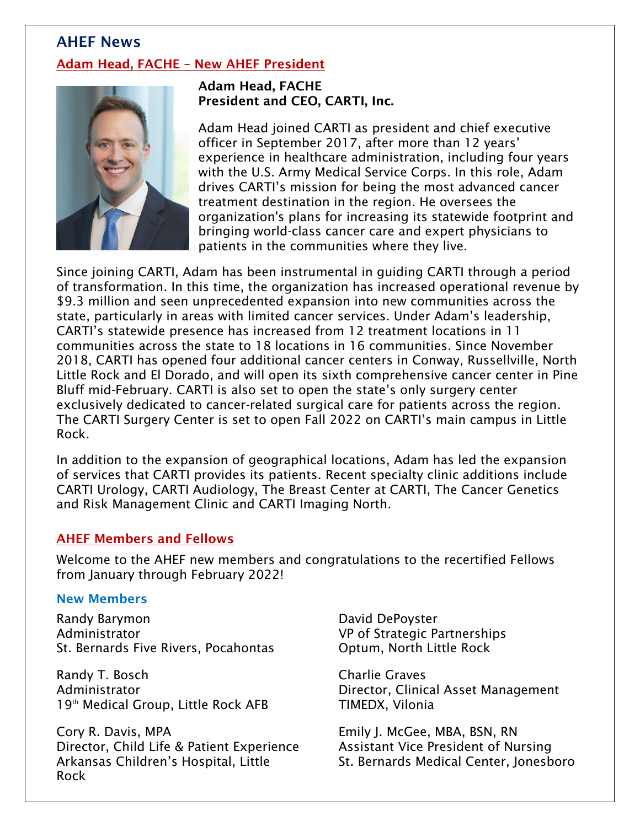## AHEF News Adam Head, FACHE – New AHEF President



Adam Head, FACHE President and CEO, CARTI, Inc.

Adam Head joined CARTI as president and chief executive officer in September 2017, after more than 12 years' experience in healthcare administration, including four years with the U.S. Army Medical Service Corps. In this role, Adam drives CARTI's mission for being the most advanced cancer treatment destination in the region. He oversees the organization's plans for increasing its statewide footprint and bringing world-class cancer care and expert physicians to patients in the communities where they live.

Since joining CARTI, Adam has been instrumental in guiding CARTI through a period of transformation. In this time, the organization has increased operational revenue by \$9.3 million and seen unprecedented expansion into new communities across the state, particularly in areas with limited cancer services. Under Adam's leadership, CARTI's statewide presence has increased from 12 treatment locations in 11 communities across the state to 18 locations in 16 communities. Since November 2018, CARTI has opened four additional cancer centers in Conway, Russellville, North Little Rock and El Dorado, and will open its sixth comprehensive cancer center in Pine Bluff mid-February. CARTI is also set to open the state's only surgery center exclusively dedicated to cancer-related surgical care for patients across the region. The CARTI Surgery Center is set to open Fall 2022 on CARTI's main campus in Little Rock.

In addition to the expansion of geographical locations, Adam has led the expansion of services that CARTI provides its patients. Recent specialty clinic additions include CARTI Urology, CARTI Audiology, The Breast Center at CARTI, The Cancer Genetics and Risk Management Clinic and CARTI Imaging North.

#### AHEF Members and Fellows

Welcome to the AHEF new members and congratulations to the recertified Fellows from January through February 2022!

#### New Members

Randy Barymon Administrator St. Bernards Five Rivers, Pocahontas

Randy T. Bosch Administrator 19<sup>th</sup> Medical Group, Little Rock AFB

Cory R. Davis, MPA Director, Child Life & Patient Experience Arkansas Children's Hospital, Little Rock

David DePoyster VP of Strategic Partnerships Optum, North Little Rock

Charlie Graves Director, Clinical Asset Management TIMEDX, Vilonia

Emily J. McGee, MBA, BSN, RN Assistant Vice President of Nursing St. Bernards Medical Center, Jonesboro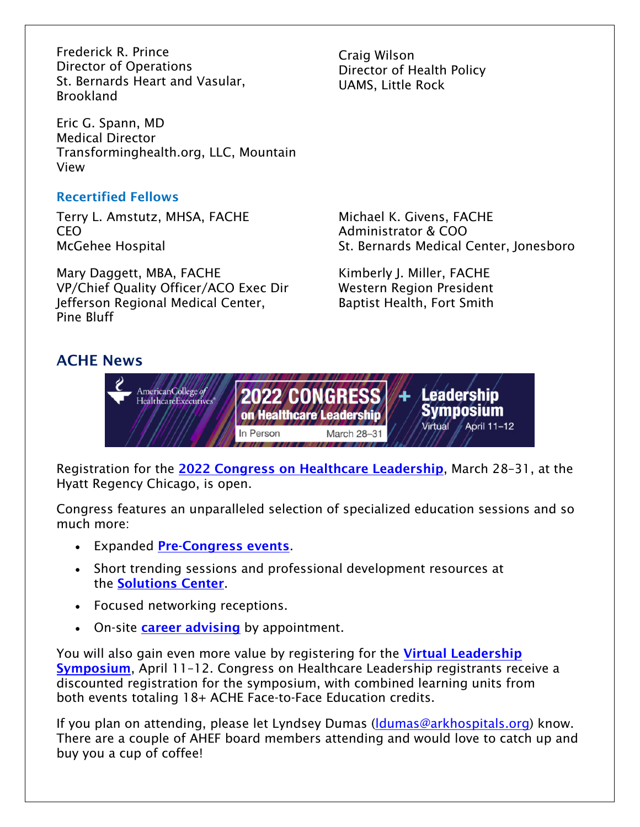Frederick R. Prince Director of Operations St. Bernards Heart and Vasular, Brookland

Eric G. Spann, MD Medical Director Transforminghealth.org, LLC, Mountain View

### Recertified Fellows

Terry L. Amstutz, MHSA, FACHE CEO McGehee Hospital

Mary Daggett, MBA, FACHE VP/Chief Quality Officer/ACO Exec Dir Jefferson Regional Medical Center, Pine Bluff

### ACHE News

Craig Wilson Director of Health Policy UAMS, Little Rock

Michael K. Givens, FACHE Administrator & COO St. Bernards Medical Center, Jonesboro

Kimberly J. Miller, FACHE Western Region President Baptist Health, Fort Smith



Registration for the **[2022 Congress on Healthcare Leadership](https://congress.ache.org/)**, March 28-31, at the Hyatt Regency Chicago, is open.

Congress features an unparalleled selection of specialized education sessions and so much more:

- Expanded [Pre-Congress events](https://congress.ache.org/agenda/#sunday).
- Short trending sessions and professional development resources at the [Solutions Center](https://congress.ache.org/about/solutions-center/).
- Focused networking receptions.
- On-site [career advising](https://congress.ache.org/about/solutions-center/#career) by appointment.

You will also gain even more value by registering for the Virtual Leadership Symposium, April 11-12. Congress on Healthcare Leadership registrants receive a discounted registration for the symposium, with combined learning units from both events totaling 18+ ACHE Face-to-Face Education credits.

If you plan on attending, please let Lyndsey Dumas (ldumas@arkhospitals.org) know. There are a couple of AHEF board members attending and would love to catch up and buy you a cup of coffee!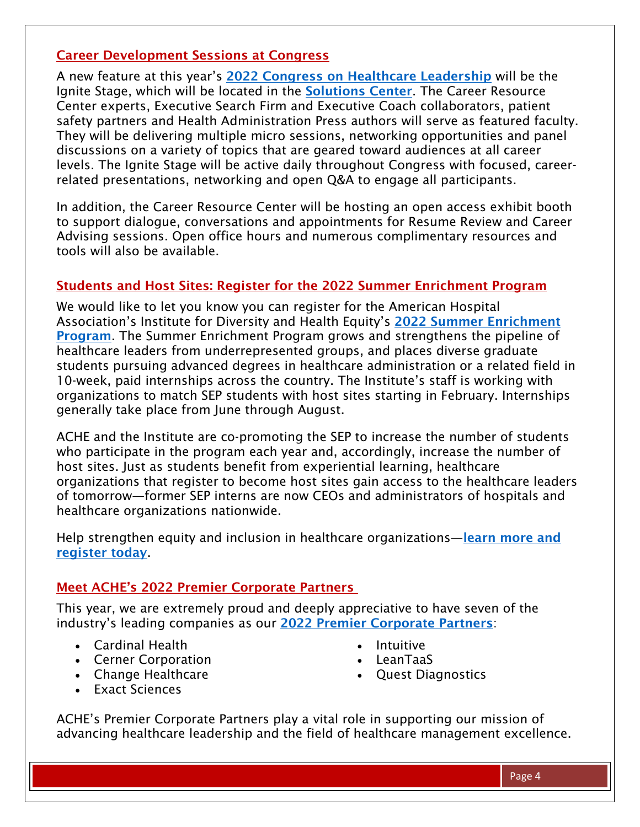#### Career Development Sessions at Congress

A new feature at this year's [2022 Congress on Healthcare Leadership](https://congress.ache.org/) will be the Ignite Stage, which will be located in the [Solutions Center](https://congress.ache.org/about/solutions-center/). The Career Resource Center experts, Executive Search Firm and Executive Coach collaborators, patient safety partners and Health Administration Press authors will serve as featured faculty. They will be delivering multiple micro sessions, networking opportunities and panel discussions on a variety of topics that are geared toward audiences at all career levels. The Ignite Stage will be active daily throughout Congress with focused, careerrelated presentations, networking and open Q&A to engage all participants.

In addition, the Career Resource Center will be hosting an open access exhibit booth to support dialogue, conversations and appointments for Resume Review and Career Advising sessions. Open office hours and numerous complimentary resources and tools will also be available.

#### Students and Host Sites: Register for the 2022 Summer Enrichment Program

We would like to let you know you can register for the American Hospital Association's Institute for Diversity and Health Equity's 2022 Summer Enrichment Program[. The Summer Enrichment Program grows and strengthens the pipeline of](https://ifdhe.aha.org/summer-enrichment-program-overview)  healthcare leaders from underrepresented groups, and places diverse graduate students pursuing advanced degrees in healthcare administration or a related field in 10-week, paid internships across the country. The Institute's staff is working with organizations to match SEP students with host sites starting in February. Internships generally take place from June through August.

ACHE and the Institute are co-promoting the SEP to increase the number of students who participate in the program each year and, accordingly, increase the number of host sites. Just as students benefit from experiential learning, healthcare organizations that register to become host sites gain access to the healthcare leaders of tomorrow—former SEP interns are now CEOs and administrators of hospitals and healthcare organizations nationwide.

[Help strengthen equity and inclusion in healthcare organizations—](https://www.ache.org/about-ache/our-story/diversity-and-inclusion/diversity-resources/ifd-ache-summer-enrichment-program)**learn more and** register today.

#### Meet ACHE's 2022 Premier Corporate Partners

This year, we are extremely proud and deeply appreciative to have seven of the industry's leading companies as our [2022 Premier Corporate Partners](https://www.ache.org/about-ache/corporate-partners/premier-corporate-partners):

- Cardinal Health
- Cerner Corporation
- Change Healthcare
- Intuitive
- LeanTaaS
- Quest Diagnostics

Exact Sciences

ACHE's Premier Corporate Partners play a vital role in supporting our mission of advancing healthcare leadership and the field of healthcare management excellence.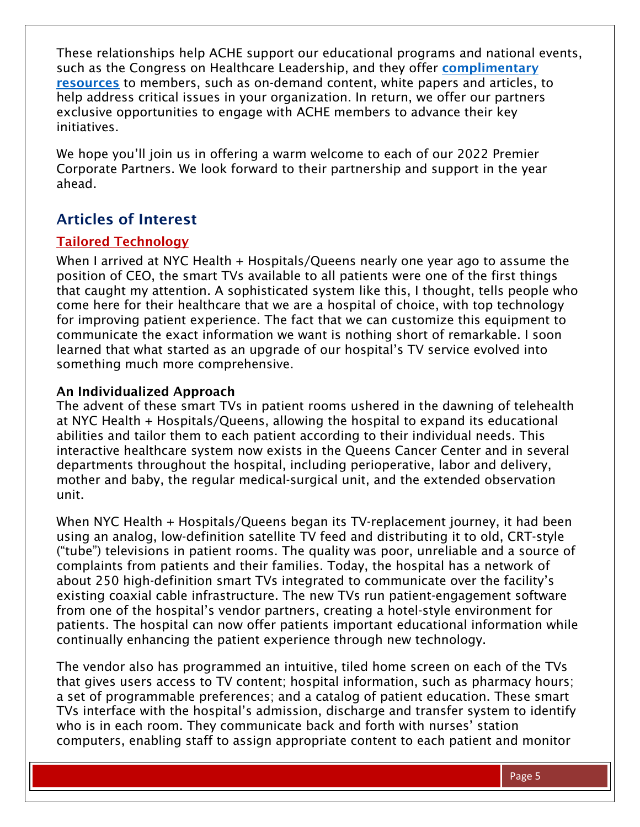These relationships help ACHE support our educational programs and national events, such as the Congress on Healthcare Leadership, and they offer complimentary resources [to members, such as on-demand content, white papers and articles,](https://www.ache.org/about-ache/corporate-partners/corporate-partner-complimentary-resources) to help address critical issues in your organization. In return, we offer our partners exclusive opportunities to engage with ACHE members to advance their key initiatives.

We hope you'll join us in offering a warm welcome to each of our 2022 Premier Corporate Partners. We look forward to their partnership and support in the year ahead.

### Articles of Interest

#### Tailored Technology

When I arrived at NYC Health + Hospitals/Queens nearly one year ago to assume the position of CEO, the smart TVs available to all patients were one of the first things that caught my attention. A sophisticated system like this, I thought, tells people who come here for their healthcare that we are a hospital of choice, with top technology for improving patient experience. The fact that we can customize this equipment to communicate the exact information we want is nothing short of remarkable. I soon learned that what started as an upgrade of our hospital's TV service evolved into something much more comprehensive.

#### An Individualized Approach

The advent of these smart TVs in patient rooms ushered in the dawning of telehealth at NYC Health + Hospitals/Queens, allowing the hospital to expand its educational abilities and tailor them to each patient according to their individual needs. This interactive healthcare system now exists in the Queens Cancer Center and in several departments throughout the hospital, including perioperative, labor and delivery, mother and baby, the regular medical-surgical unit, and the extended observation unit.

When NYC Health + Hospitals/Queens began its TV-replacement journey, it had been using an analog, low-definition satellite TV feed and distributing it to old, CRT-style ("tube") televisions in patient rooms. The quality was poor, unreliable and a source of complaints from patients and their families. Today, the hospital has a network of about 250 high-definition smart TVs integrated to communicate over the facility's existing coaxial cable infrastructure. The new TVs run patient-engagement software from one of the hospital's vendor partners, creating a hotel-style environment for patients. The hospital can now offer patients important educational information while continually enhancing the patient experience through new technology.

The vendor also has programmed an intuitive, tiled home screen on each of the TVs that gives users access to TV content; hospital information, such as pharmacy hours; a set of programmable preferences; and a catalog of patient education. These smart TVs interface with the hospital's admission, discharge and transfer system to identify who is in each room. They communicate back and forth with nurses' station computers, enabling staff to assign appropriate content to each patient and monitor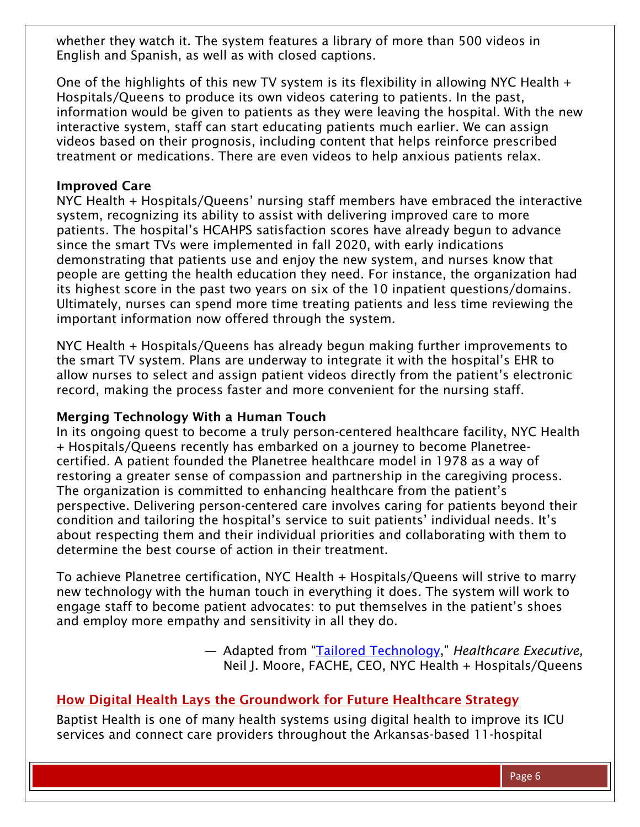whether they watch it. The system features a library of more than 500 videos in English and Spanish, as well as with closed captions.

One of the highlights of this new TV system is its flexibility in allowing NYC Health + Hospitals/Queens to produce its own videos catering to patients. In the past, information would be given to patients as they were leaving the hospital. With the new interactive system, staff can start educating patients much earlier. We can assign videos based on their prognosis, including content that helps reinforce prescribed treatment or medications. There are even videos to help anxious patients relax.

#### Improved Care

NYC Health + Hospitals/Queens' nursing staff members have embraced the interactive system, recognizing its ability to assist with delivering improved care to more patients. The hospital's HCAHPS satisfaction scores have already begun to advance since the smart TVs were implemented in fall 2020, with early indications demonstrating that patients use and enjoy the new system, and nurses know that people are getting the health education they need. For instance, the organization had its highest score in the past two years on six of the 10 inpatient questions/domains. Ultimately, nurses can spend more time treating patients and less time reviewing the important information now offered through the system.

NYC Health + Hospitals/Queens has already begun making further improvements to the smart TV system. Plans are underway to integrate it with the hospital's EHR to allow nurses to select and assign patient videos directly from the patient's electronic record, making the process faster and more convenient for the nursing staff.

#### Merging Technology With a Human Touch

In its ongoing quest to become a truly person-centered healthcare facility, NYC Health + Hospitals/Queens recently has embarked on a journey to become Planetreecertified. A patient founded the Planetree healthcare model in 1978 as a way of restoring a greater sense of compassion and partnership in the caregiving process. The organization is committed to enhancing healthcare from the patient's perspective. Delivering person-centered care involves caring for patients beyond their condition and tailoring the hospital's service to suit patients' individual needs. It's about respecting them and their individual priorities and collaborating with them to determine the best course of action in their treatment.

To achieve Planetree certification, NYC Health + Hospitals/Queens will strive to marry new technology with the human touch in everything it does. The system will work to engage staff to become patient advocates: to put themselves in the patient's shoes and employ more empathy and sensitivity in all they do.

> — Adapted from ["Tailored Technology](https://healthcareexecutive.org/archives/january-february-2022/tailored-technology)," *Healthcare Executive,*  Neil J. Moore, FACHE, CEO, NYC Health + Hospitals/Queens

### How Digital Health Lays the Groundwork for Future Healthcare Strategy

Baptist Health is one of many health systems using digital health to improve its ICU services and connect care providers throughout the Arkansas-based 11-hospital